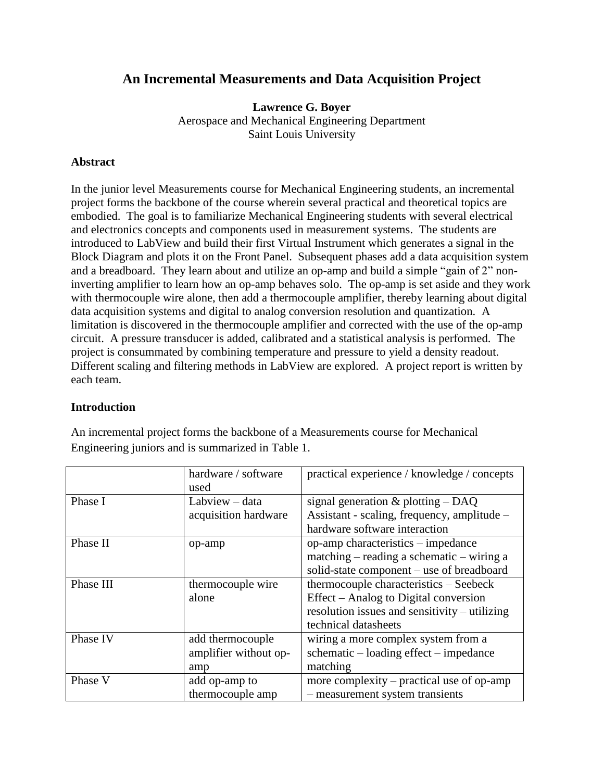# **An Incremental Measurements and Data Acquisition Project**

**Lawrence G. Boyer** Aerospace and Mechanical Engineering Department Saint Louis University

## **Abstract**

In the junior level Measurements course for Mechanical Engineering students, an incremental project forms the backbone of the course wherein several practical and theoretical topics are embodied. The goal is to familiarize Mechanical Engineering students with several electrical and electronics concepts and components used in measurement systems. The students are introduced to LabView and build their first Virtual Instrument which generates a signal in the Block Diagram and plots it on the Front Panel. Subsequent phases add a data acquisition system and a breadboard. They learn about and utilize an op-amp and build a simple "gain of 2" noninverting amplifier to learn how an op-amp behaves solo. The op-amp is set aside and they work with thermocouple wire alone, then add a thermocouple amplifier, thereby learning about digital data acquisition systems and digital to analog conversion resolution and quantization. A limitation is discovered in the thermocouple amplifier and corrected with the use of the op-amp circuit. A pressure transducer is added, calibrated and a statistical analysis is performed. The project is consummated by combining temperature and pressure to yield a density readout. Different scaling and filtering methods in LabView are explored. A project report is written by each team.

### **Introduction**

|           | hardware / software<br>used | practical experience / knowledge / concepts   |
|-----------|-----------------------------|-----------------------------------------------|
| Phase I   | Labview - data              | signal generation $\&$ plotting $-$ DAQ       |
|           | acquisition hardware        | Assistant - scaling, frequency, amplitude –   |
|           |                             | hardware software interaction                 |
| Phase II  | op-amp                      | op-amp characteristics – impedance            |
|           |                             | $matching - reading a schematic - wiring a$   |
|           |                             | solid-state component - use of breadboard     |
| Phase III | thermocouple wire           | thermocouple characteristics – Seebeck        |
|           | alone                       | Effect – Analog to Digital conversion         |
|           |                             | resolution issues and sensitivity – utilizing |
|           |                             | technical datasheets                          |
| Phase IV  | add thermocouple            | wiring a more complex system from a           |
|           | amplifier without op-       | $s$ chematic – loading effect – impedance     |
|           | amp                         | matching                                      |
| Phase V   | add op-amp to               | more complexity – practical use of op-amp     |
|           | thermocouple amp            | - measurement system transients               |

An incremental project forms the backbone of a Measurements course for Mechanical Engineering juniors and is summarized in [Table 1.](#page-1-0)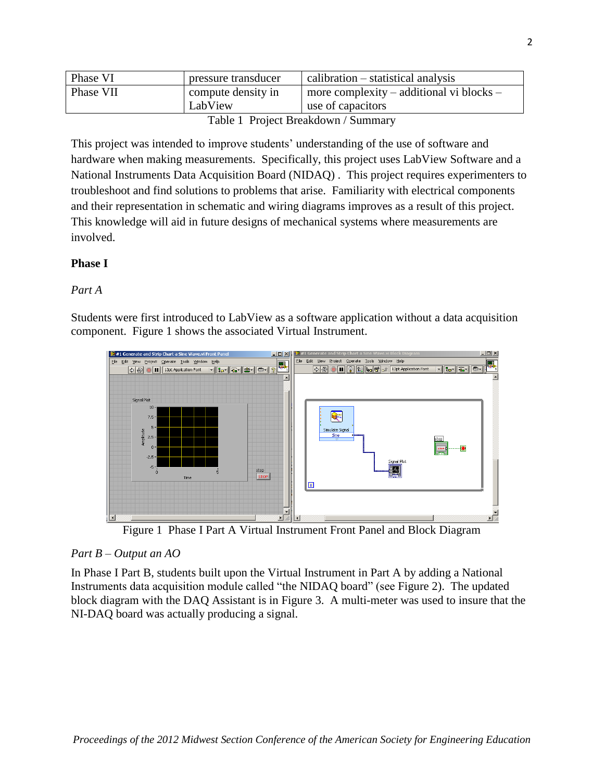| Phase VI                           | pressure transducer           | $calibration - statistical analysis$                                  |
|------------------------------------|-------------------------------|-----------------------------------------------------------------------|
| Phase VII                          | compute density in<br>LabView | $\vert$ more complexity – additional vi blocks –<br>use of capacitors |
| Table 1 Droiget Broakdown (Summery |                               |                                                                       |

Table 1 Project Breakdown / Summary

<span id="page-1-0"></span>This project was intended to improve students' understanding of the use of software and hardware when making measurements. Specifically, this project uses LabView Software and a National Instruments Data Acquisition Board (NIDAQ) . This project requires experimenters to troubleshoot and find solutions to problems that arise. Familiarity with electrical components and their representation in schematic and wiring diagrams improves as a result of this project. This knowledge will aid in future designs of mechanical systems where measurements are involved.

## **Phase I**

### *Part A*

Students were first introduced to LabView as a software application without a data acquisition component. [Figure 1](#page-1-1) shows the associated Virtual Instrument.



Figure 1 Phase I Part A Virtual Instrument Front Panel and Block Diagram

### <span id="page-1-1"></span>*Part B – Output an AO*

In Phase I Part B, students built upon the Virtual Instrument in Part A by adding a National Instruments data acquisition module called "the NIDAQ board" (see [Figure 2\)](#page-2-0). The updated block diagram with the DAQ Assistant is in [Figure 3.](#page-2-1) A multi-meter was used to insure that the NI-DAQ board was actually producing a signal.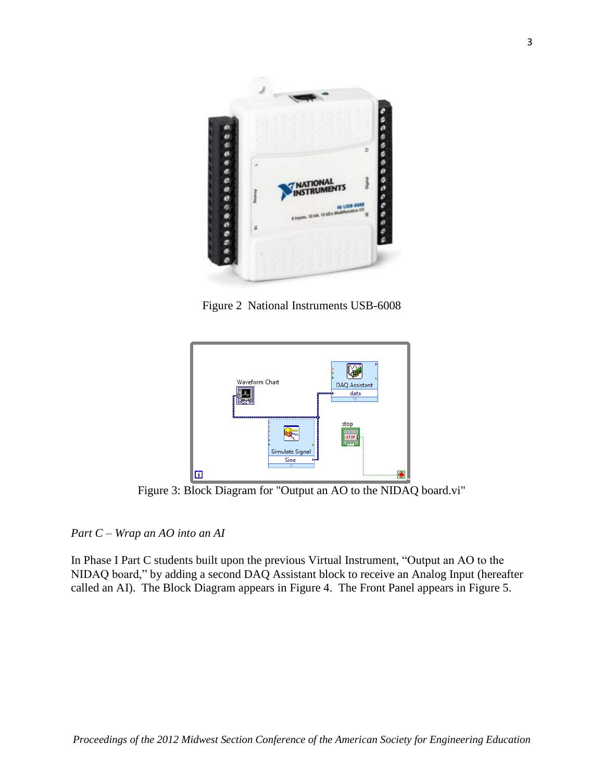

Figure 2 National Instruments USB-6008

<span id="page-2-0"></span>

Figure 3: Block Diagram for "Output an AO to the NIDAQ board.vi"

<span id="page-2-1"></span>*Part C – Wrap an AO into an AI*

In Phase I Part C students built upon the previous Virtual Instrument, "Output an AO to the NIDAQ board," by adding a second DAQ Assistant block to receive an Analog Input (hereafter called an AI). The Block Diagram appears in [Figure 4.](#page-3-0) The Front Panel appears in [Figure 5.](#page-3-1)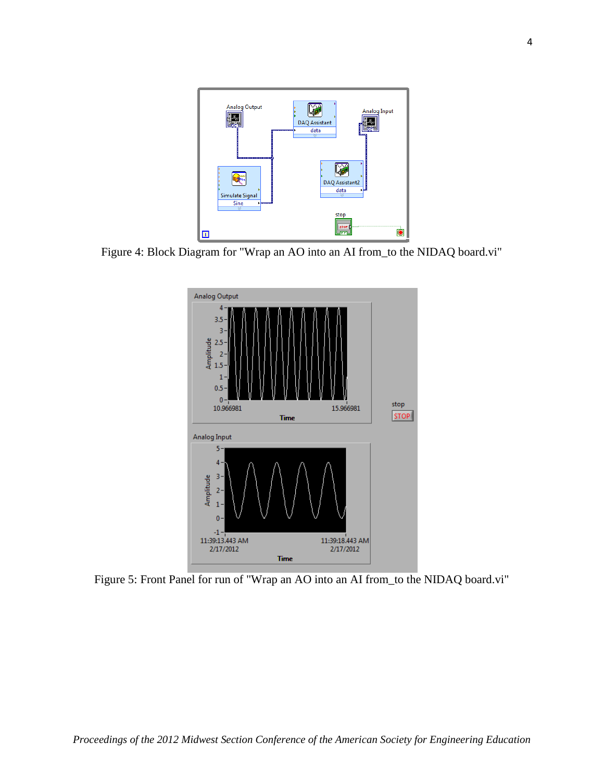

<span id="page-3-0"></span>Figure 4: Block Diagram for "Wrap an AO into an AI from\_to the NIDAQ board.vi"



<span id="page-3-1"></span>Figure 5: Front Panel for run of "Wrap an AO into an AI from\_to the NIDAQ board.vi"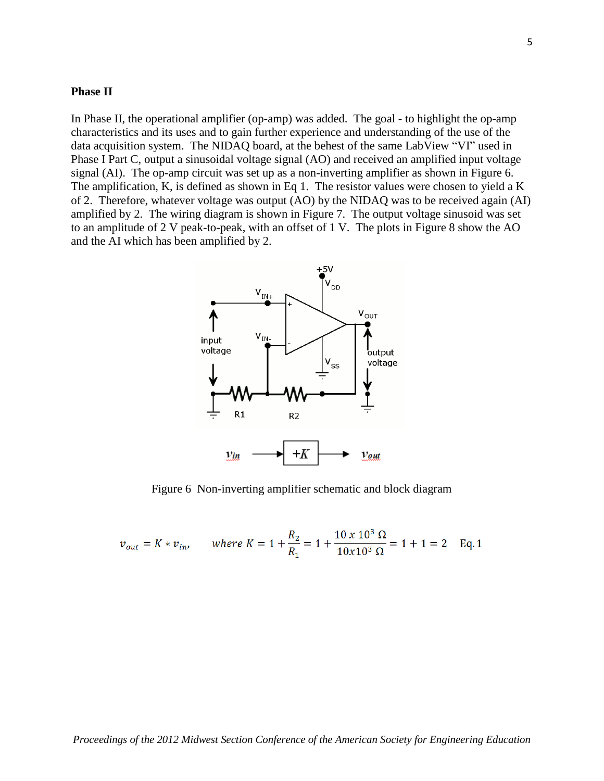#### **Phase II**

In Phase II, the operational amplifier (op-amp) was added. The goal - to highlight the op-amp characteristics and its uses and to gain further experience and understanding of the use of the data acquisition system. The NIDAQ board, at the behest of the same LabView "VI" used in Phase I Part C, output a sinusoidal voltage signal (AO) and received an amplified input voltage signal (AI). The op-amp circuit was set up as a non-inverting amplifier as shown in [Figure 6.](#page-4-0) The amplification, K, is defined as shown in Eq 1. The resistor values were chosen to yield a K of 2. Therefore, whatever voltage was output (AO) by the NIDAQ was to be received again (AI) amplified by 2. The wiring diagram is shown in [Figure 7.](#page-5-0) The output voltage sinusoid was set to an amplitude of 2 V peak-to-peak, with an offset of 1 V. The plots in [Figure 8](#page-5-1) show the AO and the AI which has been amplified by 2.



Figure 6 Non-inverting amplifier schematic and block diagram

<span id="page-4-0"></span>
$$
v_{out} = K * v_{in}
$$
, where  $K = 1 + \frac{R_2}{R_1} = 1 + \frac{10 \times 10^3 \Omega}{10 \times 10^3 \Omega} = 1 + 1 = 2$  Eq. 1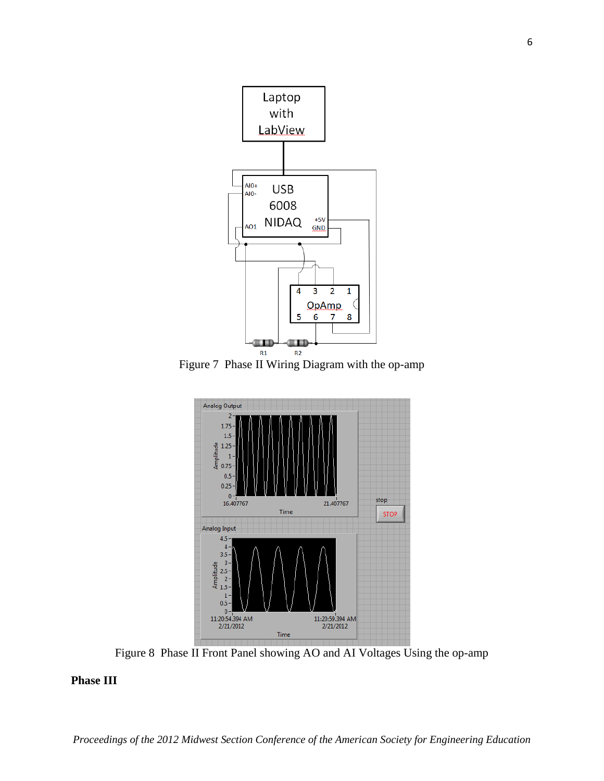

<span id="page-5-0"></span>Figure 7 Phase II Wiring Diagram with the op-amp



Figure 8 Phase II Front Panel showing AO and AI Voltages Using the op-amp

### <span id="page-5-1"></span>**Phase III**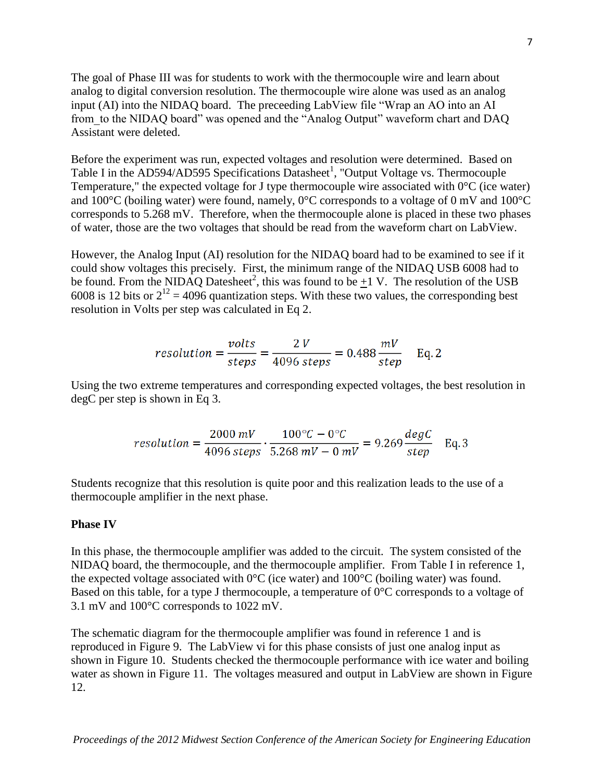The goal of Phase III was for students to work with the thermocouple wire and learn about analog to digital conversion resolution. The thermocouple wire alone was used as an analog input (AI) into the NIDAQ board. The preceeding LabView file "Wrap an AO into an AI from\_to the NIDAQ board" was opened and the "Analog Output" waveform chart and DAQ Assistant were deleted.

Before the experiment was run, expected voltages and resolution were determined. Based on Table I in the AD594/AD595 Specifications Datasheet<sup>1</sup>, "Output Voltage vs. Thermocouple Temperature," the expected voltage for J type thermocouple wire associated with  $0^{\circ}$ C (ice water) and 100°C (boiling water) were found, namely, 0°C corresponds to a voltage of 0 mV and 100°C corresponds to 5.268 mV. Therefore, when the thermocouple alone is placed in these two phases of water, those are the two voltages that should be read from the waveform chart on LabView.

However, the Analog Input (AI) resolution for the NIDAQ board had to be examined to see if it could show voltages this precisely. First, the minimum range of the NIDAQ USB 6008 had to be found. From the NIDAQ Datesheet<sup>2</sup>, this was found to be  $\pm 1$  V. The resolution of the USB 6008 is 12 bits or  $2^{12} = 4096$  quantization steps. With these two values, the corresponding best resolution in Volts per step was calculated in Eq 2.

$$
resolution = \frac{volts}{steps} = \frac{2 V}{4096 \text{ steps}} = 0.488 \frac{mV}{step} \quad \text{Eq. 2}
$$

Using the two extreme temperatures and corresponding expected voltages, the best resolution in degC per step is shown in Eq 3.

$$
resolution = \frac{2000 \, mV}{4096 \, steps} \cdot \frac{100 \, ^{\circ}C - 0 \, ^{\circ}C}{5.268 \, mV - 0 \, mV} = 9.269 \, \frac{degC}{step} \quad \text{Eq. 3}
$$

Students recognize that this resolution is quite poor and this realization leads to the use of a thermocouple amplifier in the next phase.

#### **Phase IV**

In this phase, the thermocouple amplifier was added to the circuit. The system consisted of the NIDAQ board, the thermocouple, and the thermocouple amplifier. From Table I in reference 1, the expected voltage associated with  $0^{\circ}$ C (ice water) and  $100^{\circ}$ C (boiling water) was found. Based on this table, for a type J thermocouple, a temperature of 0°C corresponds to a voltage of 3.1 mV and 100°C corresponds to 1022 mV.

The schematic diagram for the thermocouple amplifier was found in reference 1 and is reproduced in [Figure 9.](#page-7-0) The LabView vi for this phase consists of just one analog input as shown in [Figure 10.](#page-7-1) Students checked the thermocouple performance with ice water and boiling water as shown in [Figure 11.](#page-7-2) The voltages measured and output in LabView are shown in Figure [12.](#page-8-0)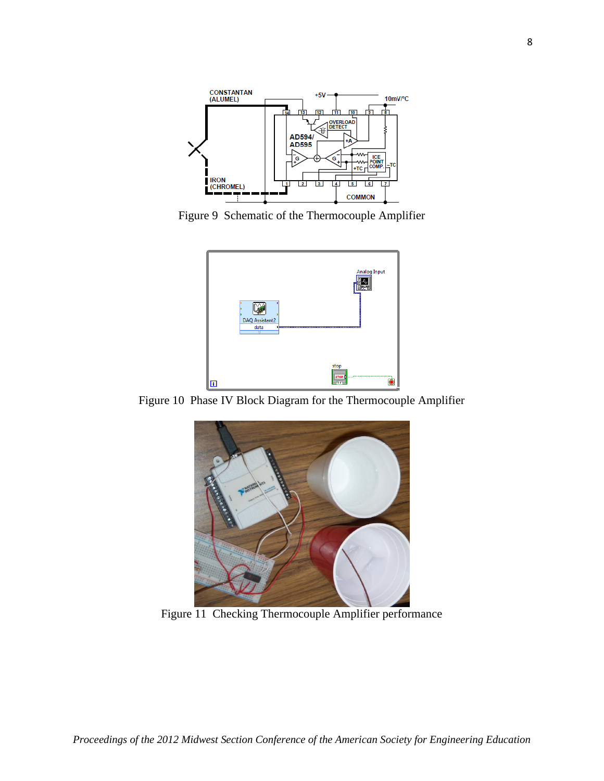

<span id="page-7-0"></span>Figure 9 Schematic of the Thermocouple Amplifier



<span id="page-7-1"></span>Figure 10 Phase IV Block Diagram for the Thermocouple Amplifier

<span id="page-7-2"></span>

Figure 11 Checking Thermocouple Amplifier performance

8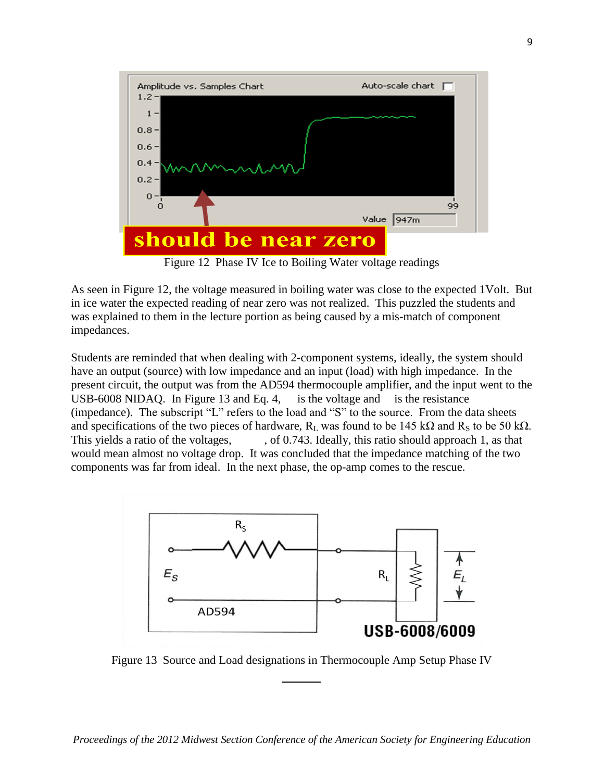

Figure 12 Phase IV Ice to Boiling Water voltage readings

<span id="page-8-0"></span>As seen in [Figure 12,](#page-8-0) the voltage measured in boiling water was close to the expected 1Volt. But in ice water the expected reading of near zero was not realized. This puzzled the students and was explained to them in the lecture portion as being caused by a mis-match of component impedances.

Students are reminded that when dealing with 2-component systems, ideally, the system should have an output (source) with low impedance and an input (load) with high impedance. In the present circuit, the output was from the AD594 thermocouple amplifier, and the input went to the USB-6008 NIDAQ. In [Figure 13](#page-8-1) and Eq. 4, is the voltage and is the resistance (impedance). The subscript "L" refers to the load and "S" to the source. From the data sheets and specifications of the two pieces of hardware,  $R_L$  was found to be 145 kΩ and  $R_S$  to be 50 kΩ. This yields a ratio of the voltages, cf 0.743. Ideally, this ratio should approach 1, as that would mean almost no voltage drop. It was concluded that the impedance matching of the two components was far from ideal. In the next phase, the op-amp comes to the rescue.



<span id="page-8-1"></span>Figure 13 Source and Load designations in Thermocouple Amp Setup Phase IV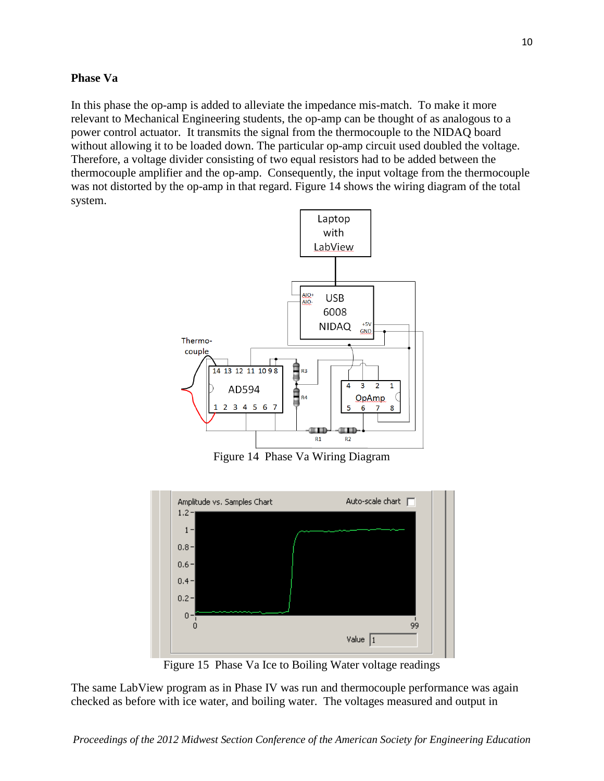### **Phase Va**

In this phase the op-amp is added to alleviate the impedance mis-match. To make it more relevant to Mechanical Engineering students, the op-amp can be thought of as analogous to a power control actuator. It transmits the signal from the thermocouple to the NIDAQ board without allowing it to be loaded down. The particular op-amp circuit used doubled the voltage. Therefore, a voltage divider consisting of two equal resistors had to be added between the thermocouple amplifier and the op-amp. Consequently, the input voltage from the thermocouple was not distorted by the op-amp in that regard. [Figure 14](#page-9-0) shows the wiring diagram of the total system.



Figure 14 Phase Va Wiring Diagram

<span id="page-9-0"></span>

Figure 15 Phase Va Ice to Boiling Water voltage readings

<span id="page-9-1"></span>The same LabView program as in Phase IV was run and thermocouple performance was again checked as before with ice water, and boiling water. The voltages measured and output in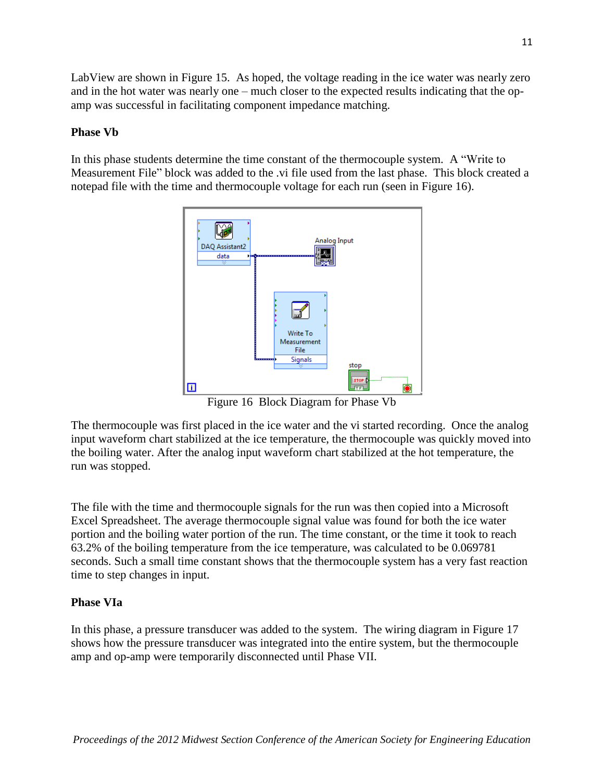LabView are shown in [Figure 15.](#page-9-1) As hoped, the voltage reading in the ice water was nearly zero and in the hot water was nearly one – much closer to the expected results indicating that the opamp was successful in facilitating component impedance matching.

## **Phase Vb**

In this phase students determine the time constant of the thermocouple system. A "Write to Measurement File" block was added to the .vi file used from the last phase. This block created a notepad file with the time and thermocouple voltage for each run (seen in [Figure 16\)](#page-10-0).



Figure 16 Block Diagram for Phase Vb

<span id="page-10-0"></span>The thermocouple was first placed in the ice water and the vi started recording. Once the analog input waveform chart stabilized at the ice temperature, the thermocouple was quickly moved into the boiling water. After the analog input waveform chart stabilized at the hot temperature, the run was stopped.

The file with the time and thermocouple signals for the run was then copied into a Microsoft Excel Spreadsheet. The average thermocouple signal value was found for both the ice water portion and the boiling water portion of the run. The time constant, or the time it took to reach 63.2% of the boiling temperature from the ice temperature, was calculated to be 0.069781 seconds. Such a small time constant shows that the thermocouple system has a very fast reaction time to step changes in input.

## **Phase VIa**

In this phase, a pressure transducer was added to the system. The wiring diagram in [Figure 17](#page-11-0) shows how the pressure transducer was integrated into the entire system, but the thermocouple amp and op-amp were temporarily disconnected until Phase VII.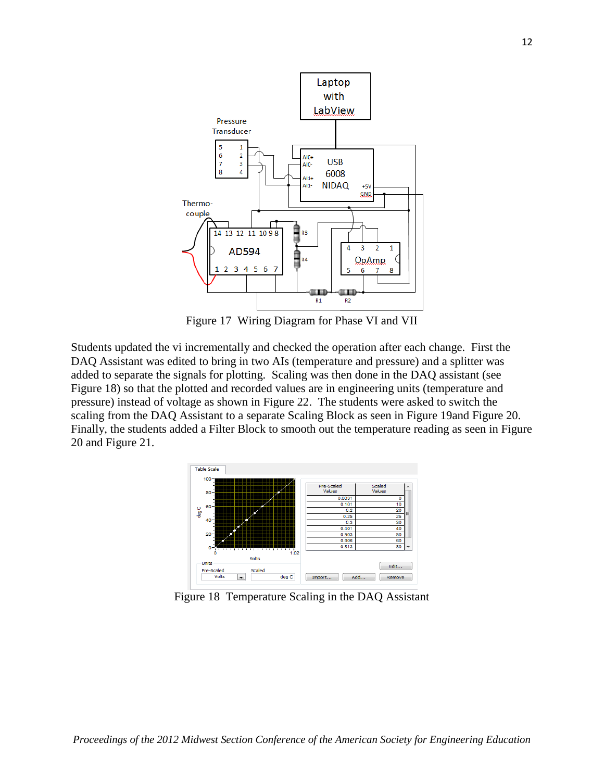

Figure 17 Wiring Diagram for Phase VI and VII

<span id="page-11-0"></span>Students updated the vi incrementally and checked the operation after each change. First the DAQ Assistant was edited to bring in two AIs (temperature and pressure) and a splitter was added to separate the signals for plotting. Scaling was then done in the DAQ assistant (see [Figure 18\)](#page-11-1) so that the plotted and recorded values are in engineering units (temperature and pressure) instead of voltage as shown in [Figure 22.](#page-13-0) The students were asked to switch the scaling from the DAQ Assistant to a separate Scaling Block as seen in [Figure 19a](#page-12-0)nd [Figure 20.](#page-12-1) Finally, the students added a Filter Block to smooth out the temperature reading as seen in [Figure](#page-12-1)  [20](#page-12-1) and [Figure 21.](#page-12-2)



<span id="page-11-1"></span>Figure 18 Temperature Scaling in the DAQ Assistant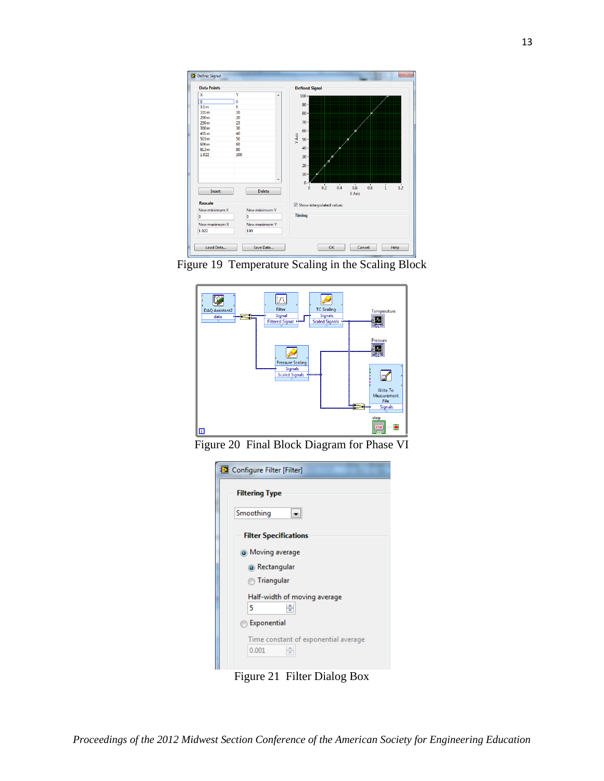

<span id="page-12-0"></span>Figure 19 Temperature Scaling in the Scaling Block



<span id="page-12-1"></span>Figure 20 Final Block Diagram for Phase VI

| Configure Filter [Filter]                          |  |  |
|----------------------------------------------------|--|--|
| <b>Filtering Type</b>                              |  |  |
| Smoothing                                          |  |  |
| <b>Filter Specifications</b>                       |  |  |
| <b>O</b> Moving average                            |  |  |
| <sup>O</sup> Rectangular                           |  |  |
| inangular                                          |  |  |
| Half-width of moving average<br>÷<br>5             |  |  |
| Exponential                                        |  |  |
| Time constant of exponential average<br>≑<br>0.001 |  |  |

<span id="page-12-2"></span>Figure 21 Filter Dialog Box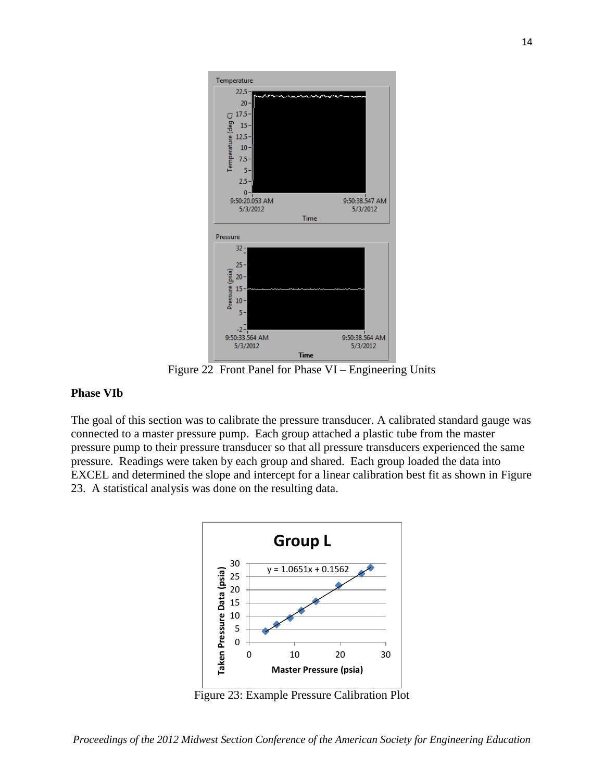

Figure 22 Front Panel for Phase VI – Engineering Units

#### <span id="page-13-0"></span>**Phase VIb**

The goal of this section was to calibrate the pressure transducer. A calibrated standard gauge was connected to a master pressure pump. Each group attached a plastic tube from the master pressure pump to their pressure transducer so that all pressure transducers experienced the same pressure. Readings were taken by each group and shared. Each group loaded the data into EXCEL and determined the slope and intercept for a linear calibration best fit as shown in [Figure](#page-13-1)  [23.](#page-13-1) A statistical analysis was done on the resulting data.



<span id="page-13-1"></span>Figure 23: Example Pressure Calibration Plot